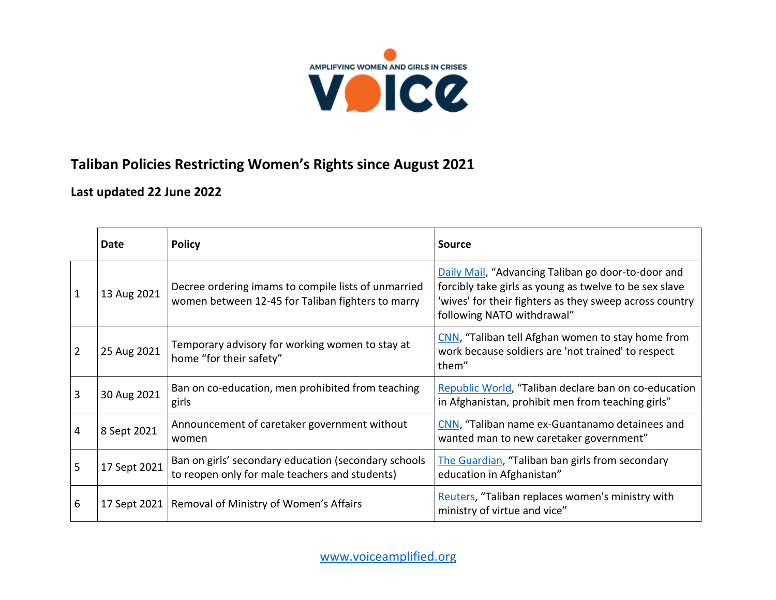

## **Taliban Policies Restricting Women's Rights since August 2021**

**Last updated 22 June 2022**

|                | Date         | <b>Policy</b>                                                                                            | <b>Source</b>                                                                                                                                                                                         |
|----------------|--------------|----------------------------------------------------------------------------------------------------------|-------------------------------------------------------------------------------------------------------------------------------------------------------------------------------------------------------|
| $\mathbf{1}$   | 13 Aug 2021  | Decree ordering imams to compile lists of unmarried<br>women between 12-45 for Taliban fighters to marry | Daily Mail, "Advancing Taliban go door-to-door and<br>forcibly take girls as young as twelve to be sex slave<br>'wives' for their fighters as they sweep across country<br>following NATO withdrawal" |
| $\overline{2}$ | 25 Aug 2021  | Temporary advisory for working women to stay at<br>home "for their safety"                               | CNN, "Taliban tell Afghan women to stay home from<br>work because soldiers are 'not trained' to respect<br>them"                                                                                      |
| 3              | 30 Aug 2021  | Ban on co-education, men prohibited from teaching<br>girls                                               | Republic World, "Taliban declare ban on co-education<br>in Afghanistan, prohibit men from teaching girls"                                                                                             |
| 4              | 8 Sept 2021  | Announcement of caretaker government without<br>women                                                    | CNN, "Taliban name ex-Guantanamo detainees and<br>wanted man to new caretaker government"                                                                                                             |
| 5              | 17 Sept 2021 | Ban on girls' secondary education (secondary schools<br>to reopen only for male teachers and students)   | The Guardian, "Taliban ban girls from secondary<br>education in Afghanistan"                                                                                                                          |
| 6              |              | 17 Sept 2021   Removal of Ministry of Women's Affairs                                                    | Reuters, "Taliban replaces women's ministry with<br>ministry of virtue and vice"                                                                                                                      |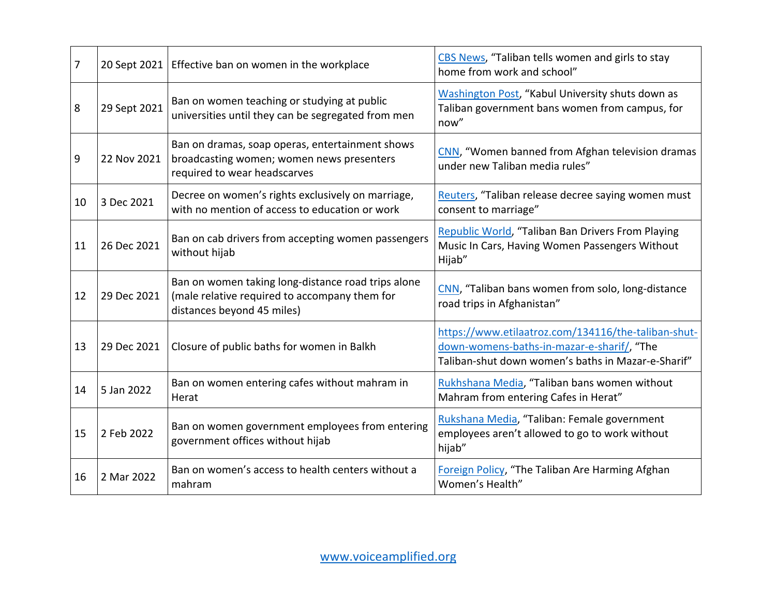| 7  |              | 20 Sept 2021   Effective ban on women in the workplace                                                                            | CBS News, "Taliban tells women and girls to stay<br>home from work and school"                                                                          |
|----|--------------|-----------------------------------------------------------------------------------------------------------------------------------|---------------------------------------------------------------------------------------------------------------------------------------------------------|
| 8  | 29 Sept 2021 | Ban on women teaching or studying at public<br>universities until they can be segregated from men                                 | Washington Post, "Kabul University shuts down as<br>Taliban government bans women from campus, for<br>now"                                              |
| 9  | 22 Nov 2021  | Ban on dramas, soap operas, entertainment shows<br>broadcasting women; women news presenters<br>required to wear headscarves      | CNN, "Women banned from Afghan television dramas<br>under new Taliban media rules"                                                                      |
| 10 | 3 Dec 2021   | Decree on women's rights exclusively on marriage,<br>with no mention of access to education or work                               | Reuters, "Taliban release decree saying women must<br>consent to marriage"                                                                              |
| 11 | 26 Dec 2021  | Ban on cab drivers from accepting women passengers<br>without hijab                                                               | Republic World, "Taliban Ban Drivers From Playing<br>Music In Cars, Having Women Passengers Without<br>Hijab"                                           |
| 12 | 29 Dec 2021  | Ban on women taking long-distance road trips alone<br>(male relative required to accompany them for<br>distances beyond 45 miles) | CNN, "Taliban bans women from solo, long-distance<br>road trips in Afghanistan"                                                                         |
| 13 | 29 Dec 2021  | Closure of public baths for women in Balkh                                                                                        | https://www.etilaatroz.com/134116/the-taliban-shut-<br>down-womens-baths-in-mazar-e-sharif/, "The<br>Taliban-shut down women's baths in Mazar-e-Sharif" |
| 14 | 5 Jan 2022   | Ban on women entering cafes without mahram in<br>Herat                                                                            | Rukhshana Media, "Taliban bans women without<br>Mahram from entering Cafes in Herat"                                                                    |
| 15 | 2 Feb 2022   | Ban on women government employees from entering<br>government offices without hijab                                               | Rukshana Media, "Taliban: Female government<br>employees aren't allowed to go to work without<br>hijab"                                                 |
| 16 | 2 Mar 2022   | Ban on women's access to health centers without a<br>mahram                                                                       | Foreign Policy, "The Taliban Are Harming Afghan<br>Women's Health"                                                                                      |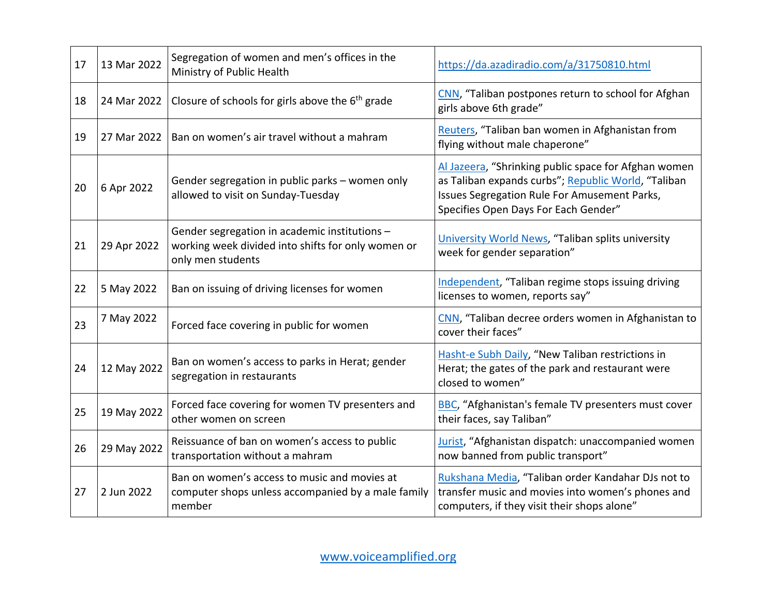| 17 | 13 Mar 2022 | Segregation of women and men's offices in the<br>Ministry of Public Health                                               | https://da.azadiradio.com/a/31750810.html                                                                                                                                                           |
|----|-------------|--------------------------------------------------------------------------------------------------------------------------|-----------------------------------------------------------------------------------------------------------------------------------------------------------------------------------------------------|
| 18 | 24 Mar 2022 | Closure of schools for girls above the 6 <sup>th</sup> grade                                                             | CNN, "Taliban postpones return to school for Afghan<br>girls above 6th grade"                                                                                                                       |
| 19 | 27 Mar 2022 | Ban on women's air travel without a mahram                                                                               | Reuters, "Taliban ban women in Afghanistan from<br>flying without male chaperone"                                                                                                                   |
| 20 | 6 Apr 2022  | Gender segregation in public parks - women only<br>allowed to visit on Sunday-Tuesday                                    | Al Jazeera, "Shrinking public space for Afghan women<br>as Taliban expands curbs"; Republic World, "Taliban<br>Issues Segregation Rule For Amusement Parks,<br>Specifies Open Days For Each Gender" |
| 21 | 29 Apr 2022 | Gender segregation in academic institutions -<br>working week divided into shifts for only women or<br>only men students | University World News, "Taliban splits university<br>week for gender separation"                                                                                                                    |
| 22 | 5 May 2022  | Ban on issuing of driving licenses for women                                                                             | Independent, "Taliban regime stops issuing driving<br>licenses to women, reports say"                                                                                                               |
| 23 | 7 May 2022  | Forced face covering in public for women                                                                                 | CNN, "Taliban decree orders women in Afghanistan to<br>cover their faces"                                                                                                                           |
| 24 | 12 May 2022 | Ban on women's access to parks in Herat; gender<br>segregation in restaurants                                            | Hasht-e Subh Daily, "New Taliban restrictions in<br>Herat; the gates of the park and restaurant were<br>closed to women"                                                                            |
| 25 | 19 May 2022 | Forced face covering for women TV presenters and<br>other women on screen                                                | <b>BBC</b> , "Afghanistan's female TV presenters must cover<br>their faces, say Taliban"                                                                                                            |
| 26 | 29 May 2022 | Reissuance of ban on women's access to public<br>transportation without a mahram                                         | Jurist, "Afghanistan dispatch: unaccompanied women<br>now banned from public transport"                                                                                                             |
| 27 | 2 Jun 2022  | Ban on women's access to music and movies at<br>computer shops unless accompanied by a male family<br>member             | Rukshana Media, "Taliban order Kandahar DJs not to<br>transfer music and movies into women's phones and<br>computers, if they visit their shops alone"                                              |